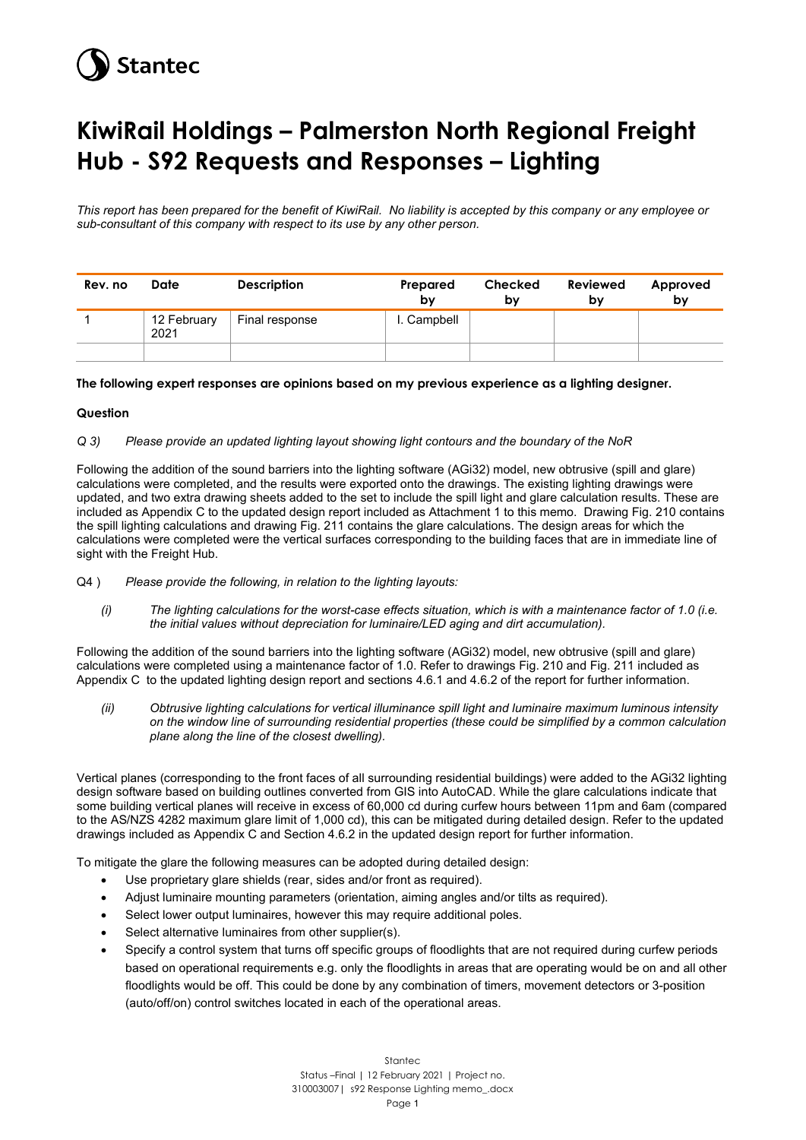# **Stantec**

## **KiwiRail Holdings – Palmerston North Regional Freight Hub - S92 Requests and Responses – Lighting**

*This report has been prepared for the benefit of KiwiRail. No liability is accepted by this company or any employee or sub-consultant of this company with respect to its use by any other person.*

| Rev. no | Date                | <b>Description</b> | Prepared<br>b٧ | Checked<br>b٧ | Reviewed<br>bv | Approved<br>bv |
|---------|---------------------|--------------------|----------------|---------------|----------------|----------------|
|         | 12 February<br>2021 | Final response     | I. Campbell    |               |                |                |
|         |                     |                    |                |               |                |                |

### **The following expert responses are opinions based on my previous experience as a lighting designer.**

### **Question**

### *Q 3) Please provide an updated lighting layout showing light contours and the boundary of the NoR*

Following the addition of the sound barriers into the lighting software (AGi32) model, new obtrusive (spill and glare) calculations were completed, and the results were exported onto the drawings. The existing lighting drawings were updated, and two extra drawing sheets added to the set to include the spill light and glare calculation results. These are included as Appendix C to the updated design report included as Attachment 1 to this memo. Drawing Fig. 210 contains the spill lighting calculations and drawing Fig. 211 contains the glare calculations. The design areas for which the calculations were completed were the vertical surfaces corresponding to the building faces that are in immediate line of sight with the Freight Hub.

- Q4 ) *Please provide the following, in relation to the lighting layouts:*
	- *(i) The lighting calculations for the worst-case effects situation, which is with a maintenance factor of 1.0 (i.e. the initial values without depreciation for luminaire/LED aging and dirt accumulation).*

Following the addition of the sound barriers into the lighting software (AGi32) model, new obtrusive (spill and glare) calculations were completed using a maintenance factor of 1.0. Refer to drawings Fig. 210 and Fig. 211 included as Appendix C to the updated lighting design report and sections 4.6.1 and 4.6.2 of the report for further information.

*(ii) Obtrusive lighting calculations for vertical illuminance spill light and luminaire maximum luminous intensity on the window line of surrounding residential properties (these could be simplified by a common calculation plane along the line of the closest dwelling).*

Vertical planes (corresponding to the front faces of all surrounding residential buildings) were added to the AGi32 lighting design software based on building outlines converted from GIS into AutoCAD. While the glare calculations indicate that some building vertical planes will receive in excess of 60,000 cd during curfew hours between 11pm and 6am (compared to the AS/NZS 4282 maximum glare limit of 1,000 cd), this can be mitigated during detailed design. Refer to the updated drawings included as Appendix C and Section 4.6.2 in the updated design report for further information.

To mitigate the glare the following measures can be adopted during detailed design:

- Use proprietary glare shields (rear, sides and/or front as required).
- Adjust luminaire mounting parameters (orientation, aiming angles and/or tilts as required).
- Select lower output luminaires, however this may require additional poles.
- Select alternative luminaires from other supplier(s).
- Specify a control system that turns off specific groups of floodlights that are not required during curfew periods based on operational requirements e.g. only the floodlights in areas that are operating would be on and all other floodlights would be off. This could be done by any combination of timers, movement detectors or 3-position (auto/off/on) control switches located in each of the operational areas.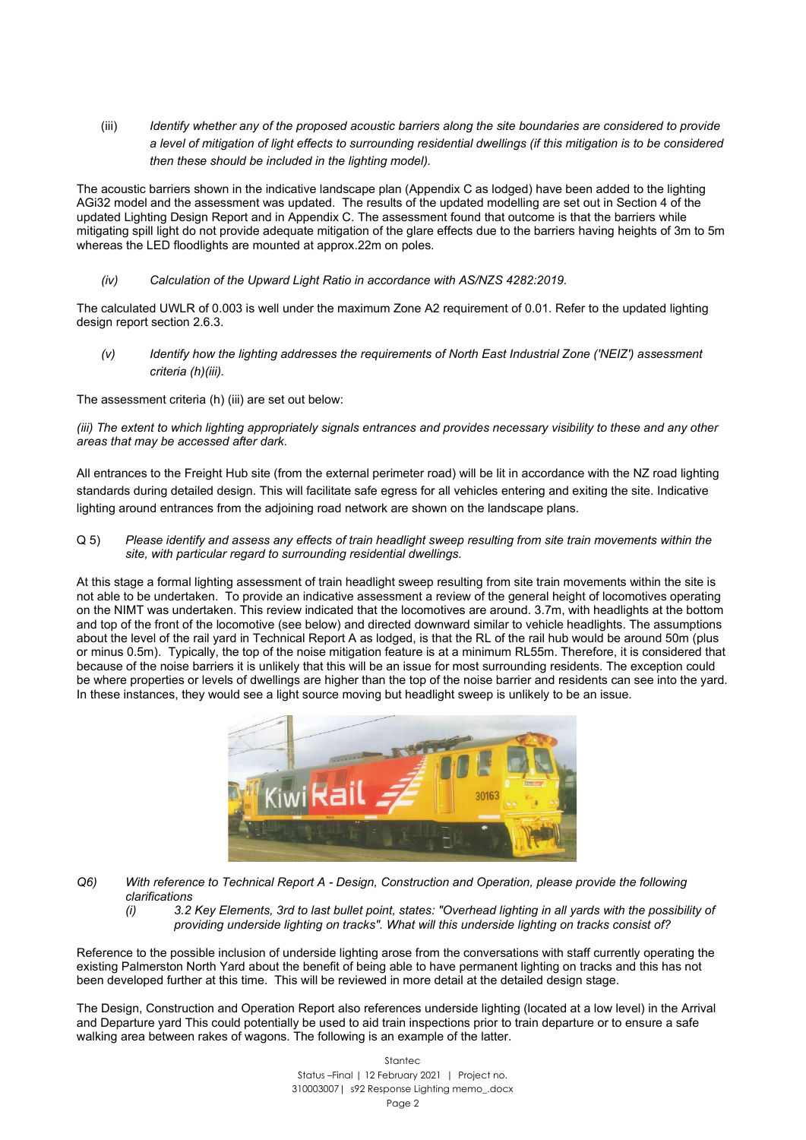(iii) *Identify whether any of the proposed acoustic barriers along the site boundaries are considered to provide a level of mitigation of light effects to surrounding residential dwellings (if this mitigation is to be considered then these should be included in the lighting model).*

The acoustic barriers shown in the indicative landscape plan (Appendix C as lodged) have been added to the lighting AGi32 model and the assessment was updated. The results of the updated modelling are set out in Section 4 of the updated Lighting Design Report and in Appendix C. The assessment found that outcome is that the barriers while mitigating spill light do not provide adequate mitigation of the glare effects due to the barriers having heights of 3m to 5m whereas the LED floodlights are mounted at approx.22m on poles.

*(iv) Calculation of the Upward Light Ratio in accordance with AS/NZS 4282:2019.*

The calculated UWLR of 0.003 is well under the maximum Zone A2 requirement of 0.01. Refer to the updated lighting design report section 2.6.3.

*(v) Identify how the lighting addresses the requirements of North East Industrial Zone ('NEIZ') assessment criteria (h)(iii).*

The assessment criteria (h) (iii) are set out below:

*(iii) The extent to which lighting appropriately signals entrances and provides necessary visibility to these and any other areas that may be accessed after dark*.

All entrances to the Freight Hub site (from the external perimeter road) will be lit in accordance with the NZ road lighting standards during detailed design. This will facilitate safe egress for all vehicles entering and exiting the site. Indicative lighting around entrances from the adjoining road network are shown on the landscape plans.

Q 5) *Please identify and assess any effects of train headlight sweep resulting from site train movements within the site, with particular regard to surrounding residential dwellings.*

At this stage a formal lighting assessment of train headlight sweep resulting from site train movements within the site is not able to be undertaken. To provide an indicative assessment a review of the general height of locomotives operating on the NIMT was undertaken. This review indicated that the locomotives are around. 3.7m, with headlights at the bottom and top of the front of the locomotive (see below) and directed downward similar to vehicle headlights. The assumptions about the level of the rail yard in Technical Report A as lodged, is that the RL of the rail hub would be around 50m (plus or minus 0.5m). Typically, the top of the noise mitigation feature is at a minimum RL55m. Therefore, it is considered that because of the noise barriers it is unlikely that this will be an issue for most surrounding residents. The exception could be where properties or levels of dwellings are higher than the top of the noise barrier and residents can see into the vard. In these instances, they would see a light source moving but headlight sweep is unlikely to be an issue.



- *Q6) With reference to Technical Report A - Design, Construction and Operation, please provide the following clarifications*
	- *(i) 3.2 Key Elements, 3rd to last bullet point, states: "Overhead lighting in all yards with the possibility of providing underside lighting on tracks". What will this underside lighting on tracks consist of?*

Reference to the possible inclusion of underside lighting arose from the conversations with staff currently operating the existing Palmerston North Yard about the benefit of being able to have permanent lighting on tracks and this has not been developed further at this time. This will be reviewed in more detail at the detailed design stage.

The Design, Construction and Operation Report also references underside lighting (located at a low level) in the Arrival and Departure yard This could potentially be used to aid train inspections prior to train departure or to ensure a safe walking area between rakes of wagons. The following is an example of the latter.